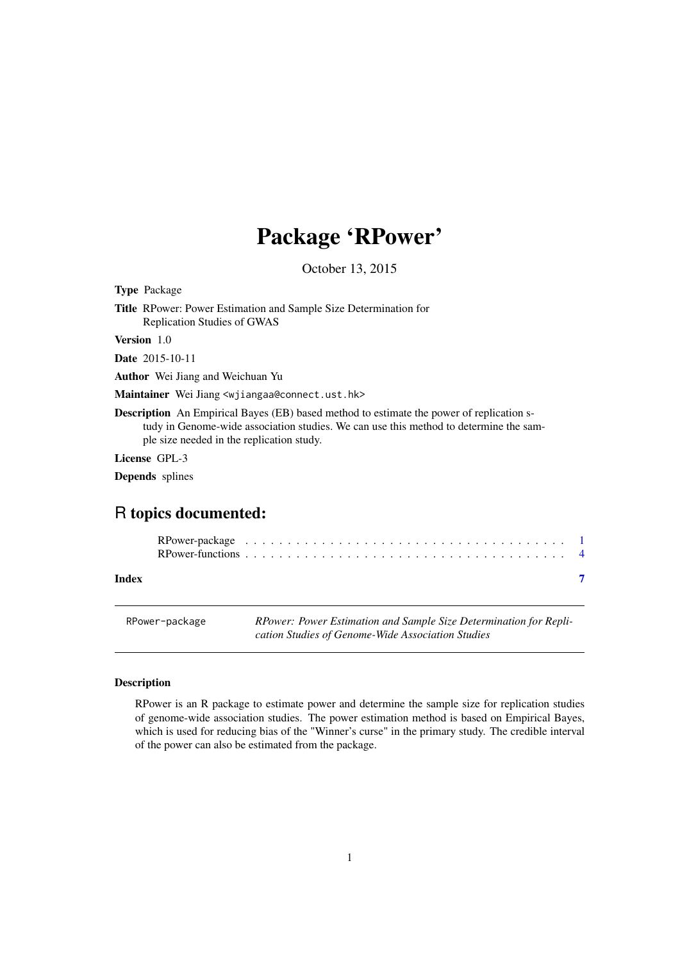# <span id="page-0-0"></span>Package 'RPower'

October 13, 2015

<span id="page-0-1"></span>Type Package

Title RPower: Power Estimation and Sample Size Determination for Replication Studies of GWAS

Version 1.0

Date 2015-10-11

Author Wei Jiang and Weichuan Yu

Maintainer Wei Jiang <wjiangaa@connect.ust.hk>

Description An Empirical Bayes (EB) based method to estimate the power of replication study in Genome-wide association studies. We can use this method to determine the sample size needed in the replication study.

License GPL-3

Depends splines

# R topics documented:

#### **Index** [7](#page-6-0)

RPower-package *RPower: Power Estimation and Sample Size Determination for Replication Studies of Genome-Wide Association Studies*

# <span id="page-0-2"></span>Description

RPower is an R package to estimate power and determine the sample size for replication studies of genome-wide association studies. The power estimation method is based on Empirical Bayes, which is used for reducing bias of the "Winner's curse" in the primary study. The credible interval of the power can also be estimated from the package.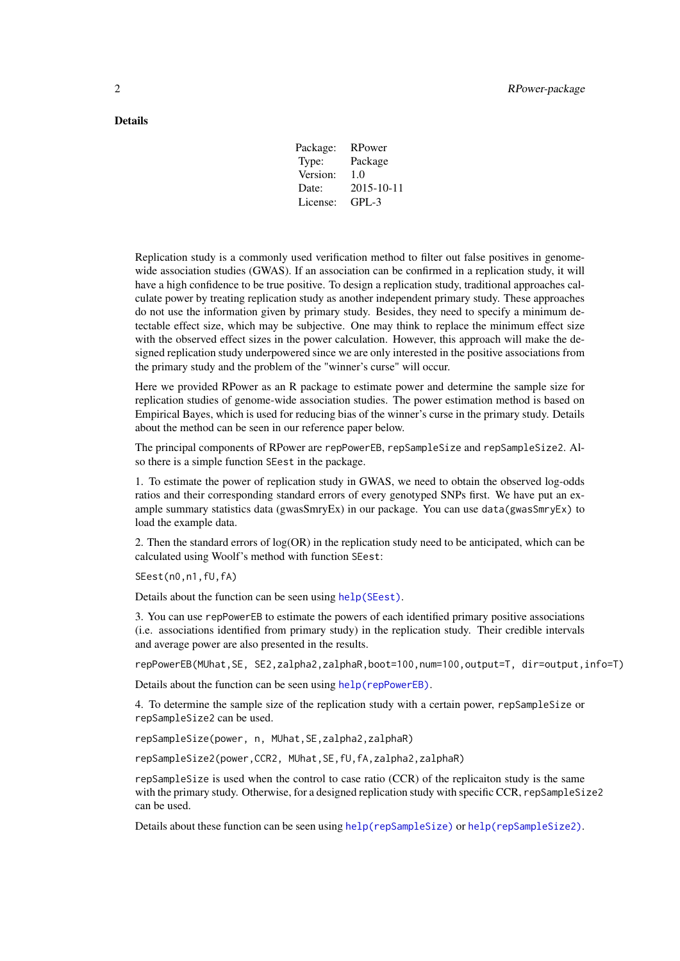# <span id="page-1-0"></span>Details

| Package: | RPower     |
|----------|------------|
| Type:    | Package    |
| Version: | 1.0        |
| Date:    | 2015-10-11 |
| License: | GPL-3      |

Replication study is a commonly used verification method to filter out false positives in genomewide association studies (GWAS). If an association can be confirmed in a replication study, it will have a high confidence to be true positive. To design a replication study, traditional approaches calculate power by treating replication study as another independent primary study. These approaches do not use the information given by primary study. Besides, they need to specify a minimum detectable effect size, which may be subjective. One may think to replace the minimum effect size with the observed effect sizes in the power calculation. However, this approach will make the designed replication study underpowered since we are only interested in the positive associations from the primary study and the problem of the "winner's curse" will occur.

Here we provided RPower as an R package to estimate power and determine the sample size for replication studies of genome-wide association studies. The power estimation method is based on Empirical Bayes, which is used for reducing bias of the winner's curse in the primary study. Details about the method can be seen in our reference paper below.

The principal components of RPower are repPowerEB, repSampleSize and repSampleSize2. Also there is a simple function SEest in the package.

1. To estimate the power of replication study in GWAS, we need to obtain the observed log-odds ratios and their corresponding standard errors of every genotyped SNPs first. We have put an example summary statistics data (gwasSmryEx) in our package. You can use data(gwasSmryEx) to load the example data.

2. Then the standard errors of log(OR) in the replication study need to be anticipated, which can be calculated using Woolf's method with function SEest:

SEest(n0,n1,fU,fA)

Details about the function can be seen using [help\(SEest\)](#page-0-1).

3. You can use repPowerEB to estimate the powers of each identified primary positive associations (i.e. associations identified from primary study) in the replication study. Their credible intervals and average power are also presented in the results.

repPowerEB(MUhat,SE, SE2,zalpha2,zalphaR,boot=100,num=100,output=T, dir=output,info=T)

Details about the function can be seen using [help\(repPowerEB\)](#page-0-1).

4. To determine the sample size of the replication study with a certain power, repSampleSize or repSampleSize2 can be used.

repSampleSize(power, n, MUhat,SE,zalpha2,zalphaR)

repSampleSize2(power,CCR2, MUhat,SE,fU,fA,zalpha2,zalphaR)

repSampleSize is used when the control to case ratio (CCR) of the replicaiton study is the same with the primary study. Otherwise, for a designed replication study with specific CCR, repSampleSize2 can be used.

Details about these function can be seen using [help\(repSampleSize\)](#page-0-1) or [help\(repSampleSize2\)](#page-0-1).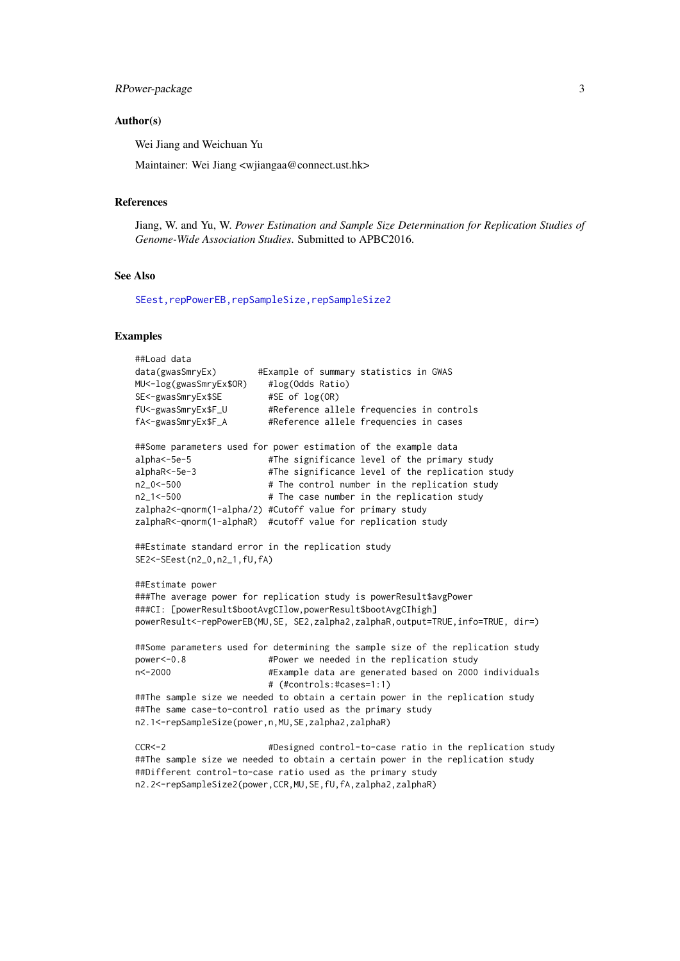#### RPower-package 3

#### Author(s)

Wei Jiang and Weichuan Yu

Maintainer: Wei Jiang <wjiangaa@connect.ust.hk>

#### References

Jiang, W. and Yu, W. *Power Estimation and Sample Size Determination for Replication Studies of Genome-Wide Association Studies*. Submitted to APBC2016.

#### See Also

[SEest,repPowerEB,repSampleSize,repSampleSize2](#page-0-1)

#### Examples

```
##Load data
data(gwasSmryEx) #Example of summary statistics in GWAS
MU<-log(gwasSmryEx$OR) #log(Odds Ratio)
SE<-gwasSmryEx$SE #SE of log(OR)
fU<-gwasSmryEx$F_U #Reference allele frequencies in controls
fA<-gwasSmryEx$F_A #Reference allele frequencies in cases
##Some parameters used for power estimation of the example data
alpha<-5e-5 #The significance level of the primary study
alphaR<-5e-3 #The significance level of the replication study
n2_0<-500 # The control number in the replication study
n2_1<-500 # The case number in the replication study
zalpha2<-qnorm(1-alpha/2) #Cutoff value for primary study
zalphaR<-qnorm(1-alphaR) #cutoff value for replication study
##Estimate standard error in the replication study
SE2<-SEest(n2_0,n2_1,fU,fA)
##Estimate power
###The average power for replication study is powerResult$avgPower
###CI: [powerResult$bootAvgCIlow,powerResult$bootAvgCIhigh]
powerResult<-repPowerEB(MU,SE, SE2,zalpha2,zalphaR,output=TRUE,info=TRUE, dir=)
##Some parameters used for determining the sample size of the replication study
power<-0.8 #Power we needed in the replication study
n<-2000 #Example data are generated based on 2000 individuals
                        # (#controls:#cases=1:1)
##The sample size we needed to obtain a certain power in the replication study
##The same case-to-control ratio used as the primary study
n2.1<-repSampleSize(power,n,MU,SE,zalpha2,zalphaR)
CCR<-2 #Designed control-to-case ratio in the replication study
##The sample size we needed to obtain a certain power in the replication study
##Different control-to-case ratio used as the primary study
n2.2<-repSampleSize2(power,CCR,MU,SE,fU,fA,zalpha2,zalphaR)
```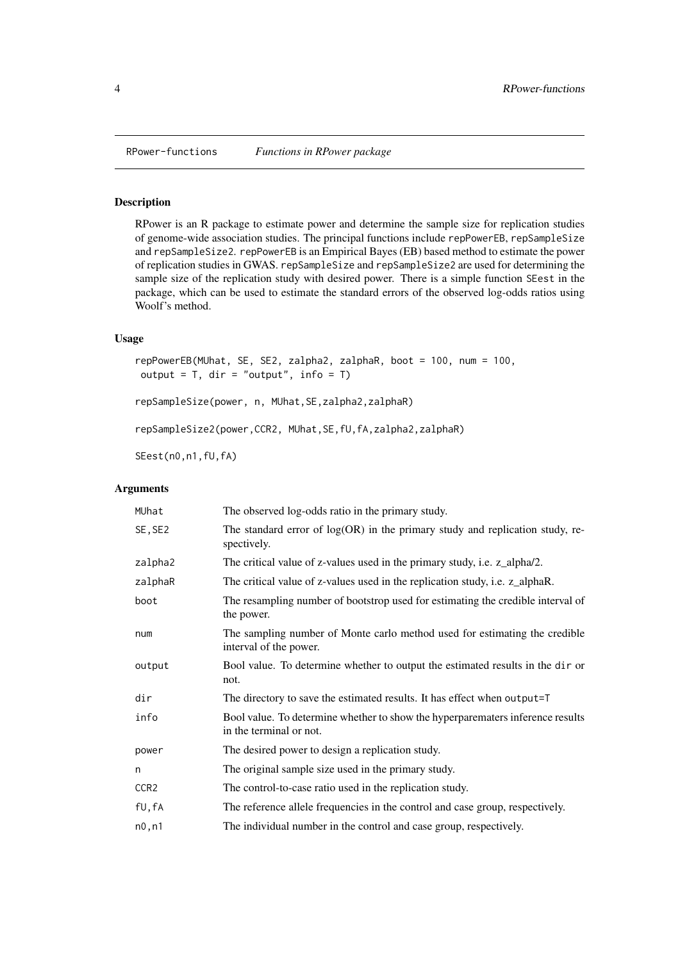<span id="page-3-0"></span>

#### Description

RPower is an R package to estimate power and determine the sample size for replication studies of genome-wide association studies. The principal functions include repPowerEB, repSampleSize and repSampleSize2. repPowerEB is an Empirical Bayes (EB) based method to estimate the power of replication studies in GWAS. repSampleSize and repSampleSize2 are used for determining the sample size of the replication study with desired power. There is a simple function SEest in the package, which can be used to estimate the standard errors of the observed log-odds ratios using Woolf's method.

## Usage

```
repPowerEB(MUhat, SE, SE2, zalpha2, zalphaR, boot = 100, num = 100,
output = T, dir = "output", info = T)
repSampleSize(power, n, MUhat,SE,zalpha2,zalphaR)
```
repSampleSize2(power,CCR2, MUhat,SE,fU,fA,zalpha2,zalphaR)

SEest(n0,n1,fU,fA)

#### Arguments

| MUhat            | The observed log-odds ratio in the primary study.                                                         |
|------------------|-----------------------------------------------------------------------------------------------------------|
| SE, SE2          | The standard error of $log(OR)$ in the primary study and replication study, re-<br>spectively.            |
| zalpha2          | The critical value of z-values used in the primary study, i.e. z_alpha/2.                                 |
| zalphaR          | The critical value of z-values used in the replication study, i.e. z_alphaR.                              |
| boot             | The resampling number of bootstrop used for estimating the credible interval of<br>the power.             |
| num              | The sampling number of Monte carlo method used for estimating the credible<br>interval of the power.      |
| output           | Bool value. To determine whether to output the estimated results in the dir or<br>not.                    |
| dir              | The directory to save the estimated results. It has effect when output=T                                  |
| info             | Bool value. To determine whether to show the hyperparematers inference results<br>in the terminal or not. |
| power            | The desired power to design a replication study.                                                          |
| n                | The original sample size used in the primary study.                                                       |
| CCR <sub>2</sub> | The control-to-case ratio used in the replication study.                                                  |
| fU, fA           | The reference allele frequencies in the control and case group, respectively.                             |
| n0, n1           | The individual number in the control and case group, respectively.                                        |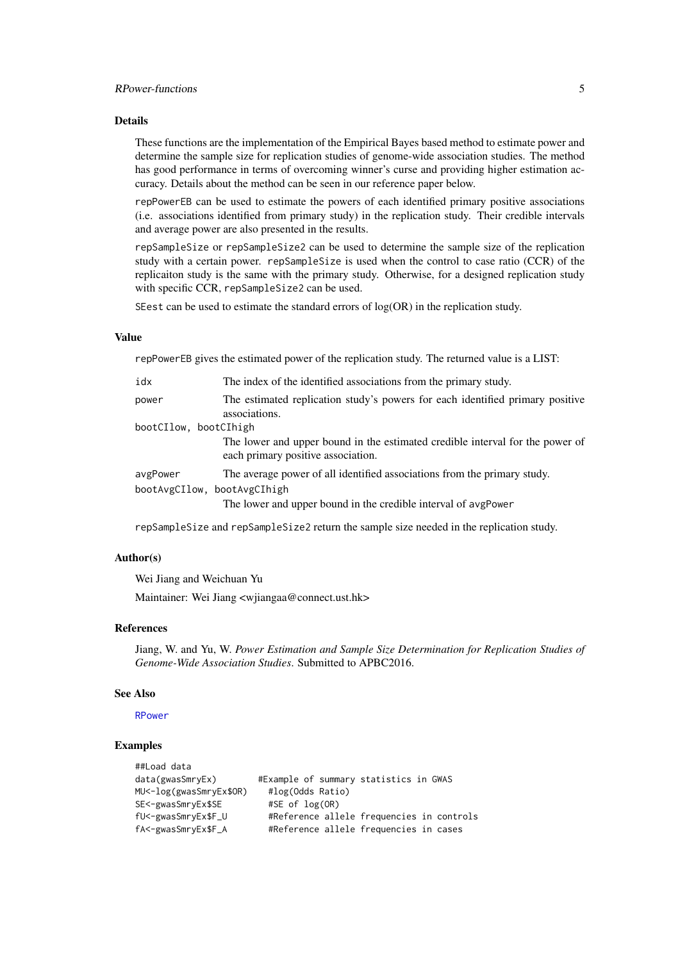#### <span id="page-4-0"></span>Details

These functions are the implementation of the Empirical Bayes based method to estimate power and determine the sample size for replication studies of genome-wide association studies. The method has good performance in terms of overcoming winner's curse and providing higher estimation accuracy. Details about the method can be seen in our reference paper below.

repPowerEB can be used to estimate the powers of each identified primary positive associations (i.e. associations identified from primary study) in the replication study. Their credible intervals and average power are also presented in the results.

repSampleSize or repSampleSize2 can be used to determine the sample size of the replication study with a certain power. repSampleSize is used when the control to case ratio (CCR) of the replicaiton study is the same with the primary study. Otherwise, for a designed replication study with specific CCR, repSampleSize2 can be used.

SEest can be used to estimate the standard errors of  $log(OR)$  in the replication study.

# Value

repPowerEB gives the estimated power of the replication study. The returned value is a LIST:

| idx                                     | The index of the identified associations from the primary study.                                                                           |
|-----------------------------------------|--------------------------------------------------------------------------------------------------------------------------------------------|
| power                                   | The estimated replication study's powers for each identified primary positive<br>associations.                                             |
| bootCIlow, bootCIhigh                   |                                                                                                                                            |
|                                         | The lower and upper bound in the estimated credible interval for the power of<br>each primary positive association.                        |
| avgPower<br>bootAvgCIlow, bootAvgCIhigh | The average power of all identified associations from the primary study.<br>The lower and upper bound in the credible interval of avgPower |

repSampleSize and repSampleSize2 return the sample size needed in the replication study.

# Author(s)

Wei Jiang and Weichuan Yu

Maintainer: Wei Jiang <wjiangaa@connect.ust.hk>

#### References

Jiang, W. and Yu, W. *Power Estimation and Sample Size Determination for Replication Studies of Genome-Wide Association Studies*. Submitted to APBC2016.

#### See Also

[RPower](#page-0-2)

# Examples

| ##Load data             |                                           |
|-------------------------|-------------------------------------------|
| data(gwasSmryEx)        | #Example of summary statistics in GWAS    |
| MU<-log(gwasSmryEx\$OR) | #log(Odds Ratio)                          |
| SE<-gwasSmryEx\$SE      | $#SE$ of $log(OR)$                        |
| fU<-gwasSmryEx\$F_U     | #Reference allele frequencies in controls |
| fA<-gwasSmryEx\$F_A     | #Reference allele frequencies in cases    |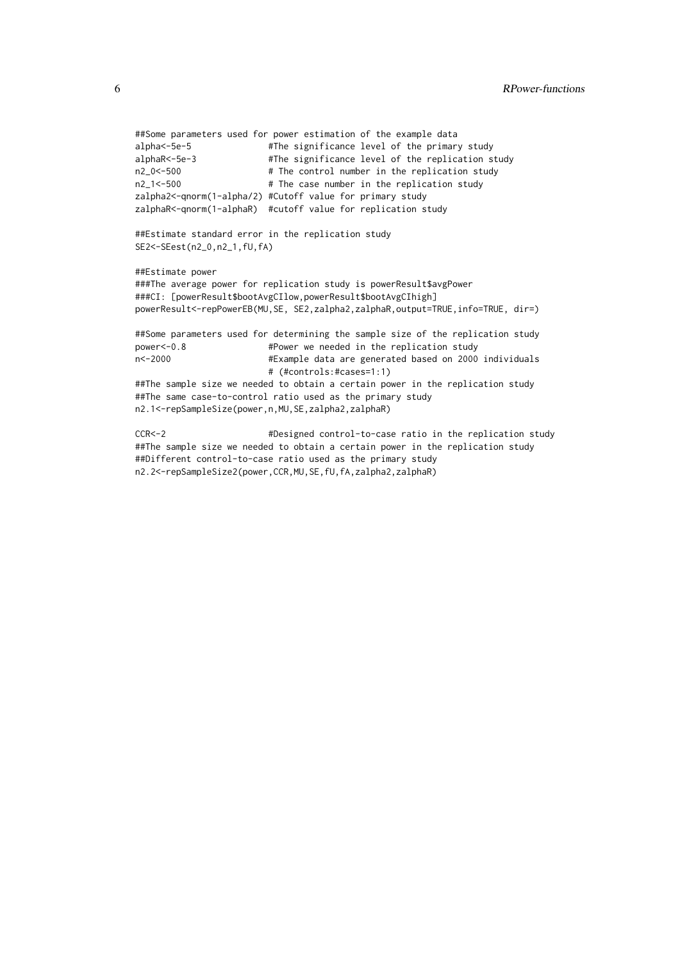```
##Some parameters used for power estimation of the example data
alpha<-5e-5 #The significance level of the primary study
alphaR<-5e-3 #The significance level of the replication study
n2_0<-500 # The control number in the replication study
n2_1<-500 # The case number in the replication study
zalpha2<-qnorm(1-alpha/2) #Cutoff value for primary study
zalphaR<-qnorm(1-alphaR) #cutoff value for replication study
##Estimate standard error in the replication study
SE2<-SEest(n2_0,n2_1,fU,fA)
##Estimate power
###The average power for replication study is powerResult$avgPower
###CI: [powerResult$bootAvgCIlow,powerResult$bootAvgCIhigh]
powerResult<-repPowerEB(MU, SE, SE2, zalpha2, zalphaR, output=TRUE, info=TRUE, dir=)
##Some parameters used for determining the sample size of the replication study
power<-0.8 #Power we needed in the replication study
n<-2000 #Example data are generated based on 2000 individuals
                        # (#controls:#cases=1:1)
##The sample size we needed to obtain a certain power in the replication study
##The same case-to-control ratio used as the primary study
n2.1<-repSampleSize(power,n,MU,SE,zalpha2,zalphaR)
CCR<-2 #Designed control-to-case ratio in the replication study
##The sample size we needed to obtain a certain power in the replication study
```
##Different control-to-case ratio used as the primary study n2.2<-repSampleSize2(power,CCR,MU,SE,fU,fA,zalpha2,zalphaR)